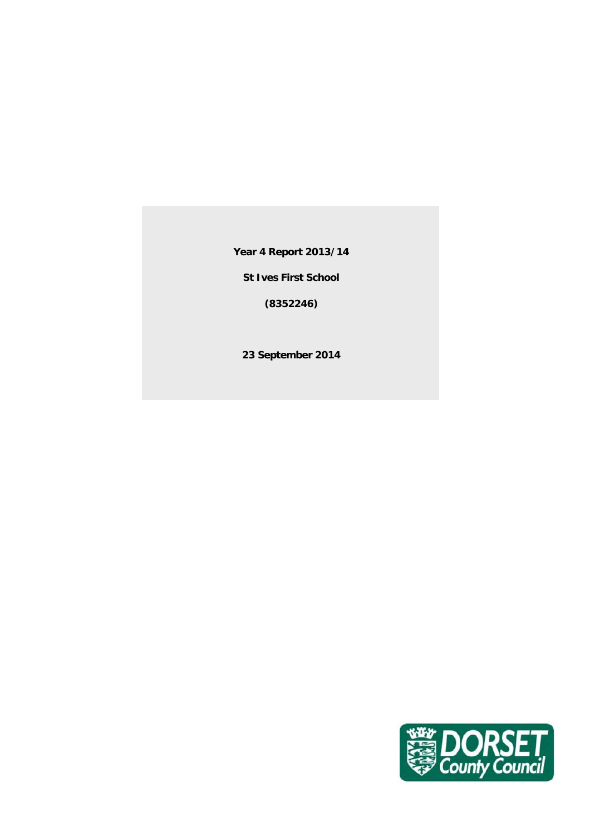**Year 4 Report 2013/14**

**St Ives First School**

**(8352246)**

**23 September 2014**

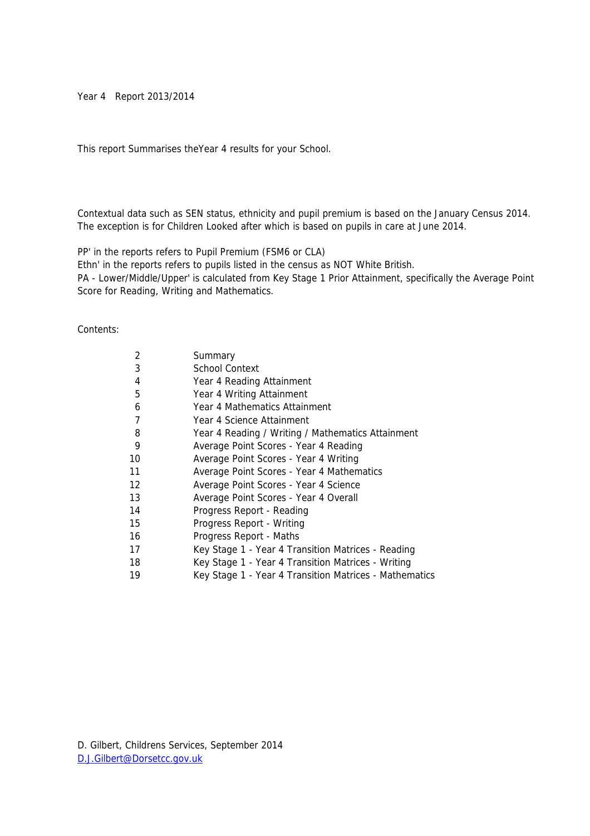#### Year 4 Report 2013/2014

This report Summarises theYear 4 results for your School.

Contextual data such as SEN status, ethnicity and pupil premium is based on the January Census 2014. The exception is for Children Looked after which is based on pupils in care at June 2014.

PP' in the reports refers to Pupil Premium (FSM6 or CLA)

Ethn' in the reports refers to pupils listed in the census as NOT White British.

PA - Lower/Middle/Upper' is calculated from Key Stage 1 Prior Attainment, specifically the Average Point Score for Reading, Writing and Mathematics.

#### Contents:

| 2  | Summary                                                |
|----|--------------------------------------------------------|
| 3  | <b>School Context</b>                                  |
| 4  | Year 4 Reading Attainment                              |
| 5  | Year 4 Writing Attainment                              |
| 6  | Year 4 Mathematics Attainment                          |
| 7  | Year 4 Science Attainment                              |
| 8  | Year 4 Reading / Writing / Mathematics Attainment      |
| 9  | Average Point Scores - Year 4 Reading                  |
| 10 | Average Point Scores - Year 4 Writing                  |
| 11 | Average Point Scores - Year 4 Mathematics              |
| 12 | Average Point Scores - Year 4 Science                  |
| 13 | Average Point Scores - Year 4 Overall                  |
| 14 | Progress Report - Reading                              |
| 15 | Progress Report - Writing                              |
| 16 | Progress Report - Maths                                |
| 17 | Key Stage 1 - Year 4 Transition Matrices - Reading     |
| 18 | Key Stage 1 - Year 4 Transition Matrices - Writing     |
| 19 | Key Stage 1 - Year 4 Transition Matrices - Mathematics |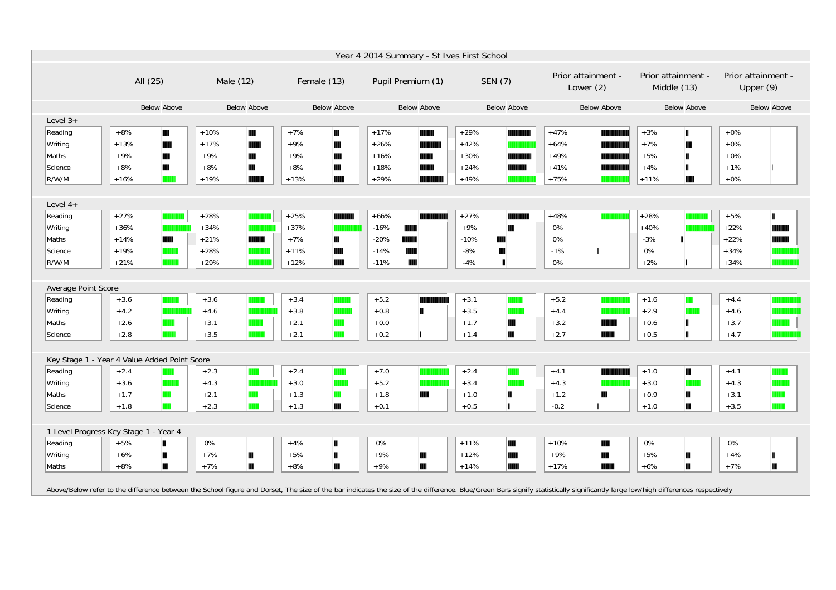|                              | Year 4 2014 Summary - St Ives First School   |                       |                       |                             |                              |                                                                                                                                                                                                                                |                                   |                                   |  |  |  |  |  |  |
|------------------------------|----------------------------------------------|-----------------------|-----------------------|-----------------------------|------------------------------|--------------------------------------------------------------------------------------------------------------------------------------------------------------------------------------------------------------------------------|-----------------------------------|-----------------------------------|--|--|--|--|--|--|
|                              | All (25)                                     | Male (12)             | Female (13)           | Pupil Premium (1)           | SEN (7)                      | Prior attainment -<br>Lower $(2)$                                                                                                                                                                                              | Prior attainment -<br>Middle (13) | Prior attainment -<br>Upper $(9)$ |  |  |  |  |  |  |
|                              | <b>Below Above</b>                           | <b>Below Above</b>    | <b>Below Above</b>    | <b>Below Above</b>          | <b>Below Above</b>           | <b>Below Above</b>                                                                                                                                                                                                             | <b>Below Above</b>                | <b>Below Above</b>                |  |  |  |  |  |  |
| Level $3+$                   |                                              |                       |                       |                             |                              |                                                                                                                                                                                                                                |                                   |                                   |  |  |  |  |  |  |
| Reading                      | $+8%$<br>Ш                                   | $+10%$<br>Ш           | $+7%$<br>Ш            | $+17%$                      | $+29%$                       | $+47%$                                                                                                                                                                                                                         | $+3%$<br>ш                        | $+0\%$                            |  |  |  |  |  |  |
| Writing                      | $+13%$                                       | $+17%$                | $+9%$<br>H            | $+26%$                      | $+42%$                       | $+64%$                                                                                                                                                                                                                         | $+7%$                             | $+0\%$                            |  |  |  |  |  |  |
| Maths                        | $+9%$                                        | $+9%$<br><b>ITTIL</b> | $+9%$                 | $+16%$                      | $+30%$                       | $+49%$                                                                                                                                                                                                                         | $+5%$                             | $+0\%$                            |  |  |  |  |  |  |
| Science                      | $+8%$<br>Ш                                   | $+8%$<br>Ш            | $+8%$<br>H            | $+18%$                      | $+24%$                       | $+41%$                                                                                                                                                                                                                         | $+4%$                             | $+1%$                             |  |  |  |  |  |  |
| R/W/M                        | $+16%$                                       | $+19%$                | $+13%$                | $+29%$                      | $+49%$                       | $+75%$                                                                                                                                                                                                                         | $+11%$<br><b>TIME</b>             | $+0%$                             |  |  |  |  |  |  |
|                              |                                              |                       |                       |                             |                              |                                                                                                                                                                                                                                |                                   |                                   |  |  |  |  |  |  |
| Level $4+$                   |                                              |                       |                       |                             |                              |                                                                                                                                                                                                                                |                                   |                                   |  |  |  |  |  |  |
| Reading                      | $+27%$                                       | $+28%$                | $+25%$                | $+66%$                      | $+27%$                       | $+48%$                                                                                                                                                                                                                         | $+28%$                            | $+5%$<br>ш                        |  |  |  |  |  |  |
| Writing                      | $+36%$                                       | $+34%$                | $+37%$                | $-16%$                      | $+9%$<br>H                   | $0\%$                                                                                                                                                                                                                          | $+40%$                            | $+22%$                            |  |  |  |  |  |  |
| Maths                        | $+14%$                                       | $+21%$                | $+7%$<br>Ш            | $-20%$                      | $-10%$                       | 0%                                                                                                                                                                                                                             | $-3%$                             | $+22%$                            |  |  |  |  |  |  |
| Science                      | $+19%$                                       | $+28%$                | $+11%$                | $-14%$                      | $-8%$                        | $-1%$                                                                                                                                                                                                                          | 0%                                | $+34%$                            |  |  |  |  |  |  |
| R/W/M                        | $+21%$                                       | $+29%$                | $+12%$                | m<br>$-11%$                 | п<br>$-4%$                   | 0%                                                                                                                                                                                                                             | $+2%$                             | $+34%$                            |  |  |  |  |  |  |
|                              |                                              |                       |                       |                             |                              |                                                                                                                                                                                                                                |                                   |                                   |  |  |  |  |  |  |
| Average Point Score          |                                              |                       |                       |                             |                              |                                                                                                                                                                                                                                |                                   |                                   |  |  |  |  |  |  |
| Reading                      | $+3.6$                                       | $+3.6$                | $+3.4$                | $+5.2$                      | $+3.1$                       | $+5.2$                                                                                                                                                                                                                         | $+1.6$<br>m                       | $+4.4$                            |  |  |  |  |  |  |
| Writing                      | $+4.2$                                       | $+4.6$                | $+3.8$                | $+0.8$                      | $+3.5$<br><b>The College</b> | $+4.4$                                                                                                                                                                                                                         | $+2.9$                            | $+4.6$                            |  |  |  |  |  |  |
| Maths                        | $+2.6$                                       | $+3.1$                | $+2.1$<br><b>THE</b>  | $+0.0$                      | W<br>$+1.7$                  | $+3.2$                                                                                                                                                                                                                         | $+0.6$                            | $+3.7$                            |  |  |  |  |  |  |
| Science                      | $+2.8$                                       | $+3.5$                | $+2.1$                | $+0.2$                      | W<br>$+1.4$                  | $+2.7$                                                                                                                                                                                                                         | $+0.5$                            | $+4.7$                            |  |  |  |  |  |  |
|                              |                                              |                       |                       |                             |                              |                                                                                                                                                                                                                                |                                   |                                   |  |  |  |  |  |  |
|                              | Key Stage 1 - Year 4 Value Added Point Score |                       |                       |                             |                              |                                                                                                                                                                                                                                |                                   |                                   |  |  |  |  |  |  |
| Reading                      | $+2.4$                                       | $+2.3$                | $+2.4$                | $+7.0$                      | $+2.4$                       | $+4.1$                                                                                                                                                                                                                         | $+1.0$<br>m                       | $+4.1$                            |  |  |  |  |  |  |
| Writing                      | $+3.6$                                       | $+4.3$                | $+3.0$                | $+5.2$                      | $+3.4$                       | $+4.3$                                                                                                                                                                                                                         | $+3.0$                            | $+4.3$                            |  |  |  |  |  |  |
| Maths                        | $+1.7$<br><b>THE STATE</b>                   | $+2.1$                | <b>TIME</b><br>$+1.3$ | $+1.8$<br><b>The Second</b> | Ш<br>$+1.0$                  | $+1.2$<br>m                                                                                                                                                                                                                    | $+0.9$<br>Ш                       | $+3.1$                            |  |  |  |  |  |  |
| Science                      | $+1.8$<br><b>TIME</b>                        | $+2.3$<br><b>TETH</b> | W<br>$+1.3$           | $+0.1$                      | $+0.5$<br>п                  | $-0.2$                                                                                                                                                                                                                         | $+1.0$<br>Ш                       | $+3.5$                            |  |  |  |  |  |  |
|                              |                                              |                       |                       |                             |                              |                                                                                                                                                                                                                                |                                   |                                   |  |  |  |  |  |  |
| 1 Level Progress Key Stage 1 | - Year 4                                     |                       |                       |                             |                              |                                                                                                                                                                                                                                |                                   |                                   |  |  |  |  |  |  |
| Reading                      | $+5%$<br>ш                                   | 0%                    | $+4%$<br>ш            | 0%                          | $+11%$<br>IШ                 | $+10%$<br><b>THE REAL</b>                                                                                                                                                                                                      | 0%                                | 0%                                |  |  |  |  |  |  |
| Writing                      | $+6%$<br>Ш                                   | $+7%$<br>Ш            | $+5%$<br>п            | $+9%$<br>Ш                  | $+12%$<br><b>TIME</b>        | $+9%$<br><b>Illian</b>                                                                                                                                                                                                         | $+5%$                             | $+4%$                             |  |  |  |  |  |  |
| Maths                        | $+8%$<br>III                                 | $+7%$<br>Ш            | $+8%$<br>Ш            | W<br>$+9%$                  | $+14%$                       | $+17%$                                                                                                                                                                                                                         | $+6%$<br>Ш                        | $+7%$<br>Ш                        |  |  |  |  |  |  |
|                              |                                              |                       |                       |                             |                              |                                                                                                                                                                                                                                |                                   |                                   |  |  |  |  |  |  |
|                              |                                              |                       |                       |                             |                              | Above/Below refer to the difference between the School figure and Dorset, The size of the bar indicates the size of the difference. Blue/Green Bars signify statistically significantly large low/high differences respectivel |                                   |                                   |  |  |  |  |  |  |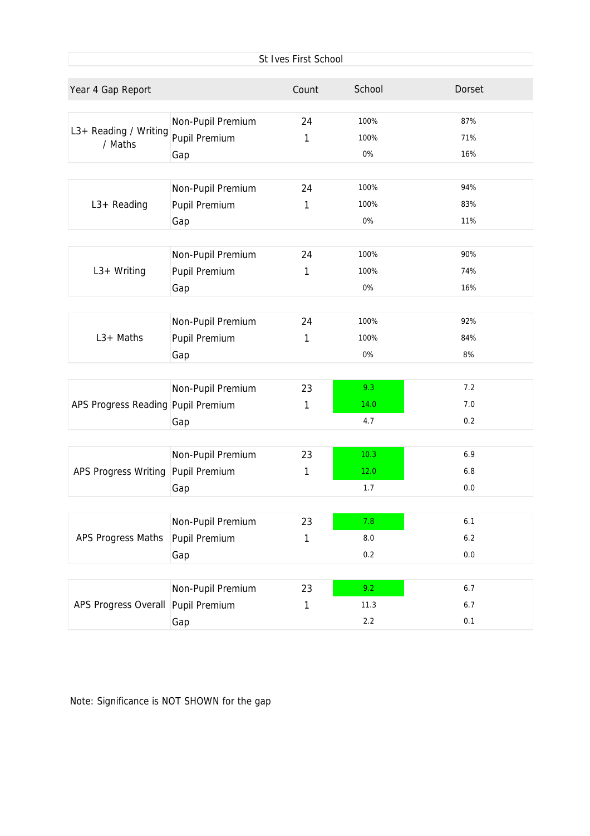|                                    |                                           | St Ives First School |              |            |
|------------------------------------|-------------------------------------------|----------------------|--------------|------------|
| Year 4 Gap Report                  |                                           | Count                | School       | Dorset     |
| L3+ Reading / Writing<br>/ Maths   | Non-Pupil Premium<br><b>Pupil Premium</b> | 24<br>1              | 100%<br>100% | 87%<br>71% |
|                                    | Gap                                       |                      | 0%           | 16%        |
|                                    | Non-Pupil Premium                         | 24                   | 100%         | 94%        |
| $L3+$ Reading                      | Pupil Premium<br>Gap                      | 1                    | 100%<br>0%   | 83%<br>11% |
|                                    |                                           |                      |              |            |
| $L3+Writing$                       | Non-Pupil Premium<br>Pupil Premium        | 24<br>1              | 100%<br>100% | 90%<br>74% |
|                                    | Gap                                       |                      | 0%           | 16%        |
|                                    | Non-Pupil Premium                         | 24                   | 100%         | 92%        |
| $L3+$ Maths                        | Pupil Premium                             | 1                    | 100%         | 84%        |
|                                    | Gap                                       |                      | 0%           | 8%         |
|                                    | Non-Pupil Premium                         | 23                   | 9.3          | 7.2        |
| APS Progress Reading Pupil Premium | Gap                                       | 1                    | 14.0<br>4.7  | 7.0<br>0.2 |
|                                    |                                           |                      |              |            |
| <b>APS Progress Writing</b>        | Non-Pupil Premium<br>Pupil Premium        | 23<br>1              | 10.3<br>12.0 | 6.9<br>6.8 |
|                                    | Gap                                       |                      | 1.7          | 0.0        |
|                                    | Non-Pupil Premium                         | 23                   | 7.8          | 6.1        |
| APS Progress Maths                 | Pupil Premium                             | $\mathbf{1}$         | 8.0          | 6.2        |
|                                    | Gap                                       |                      | 0.2          | 0.0        |
|                                    | Non-Pupil Premium                         | 23                   | 9.2          | 6.7        |
| APS Progress Overall Pupil Premium |                                           | 1                    | 11.3         | 6.7        |
|                                    | Gap                                       |                      | 2.2          | 0.1        |

Note: Significance is NOT SHOWN for the gap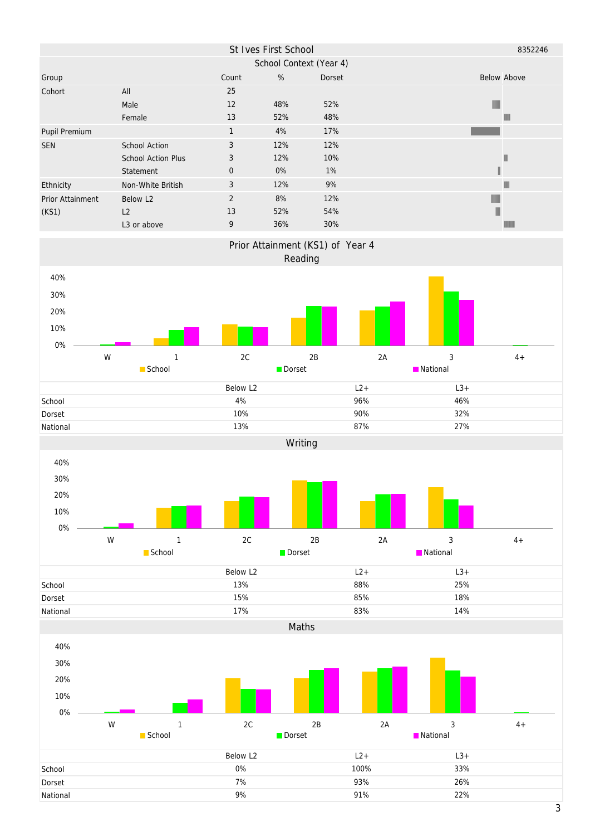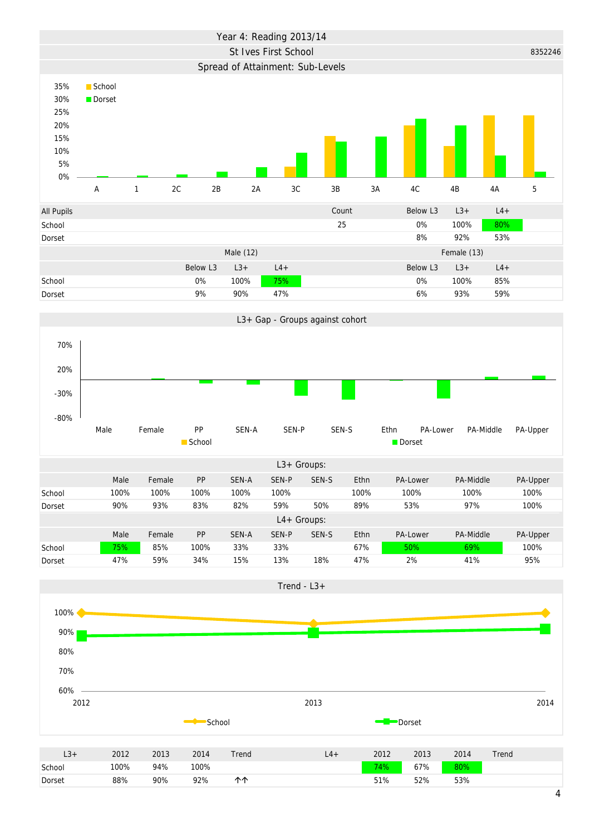



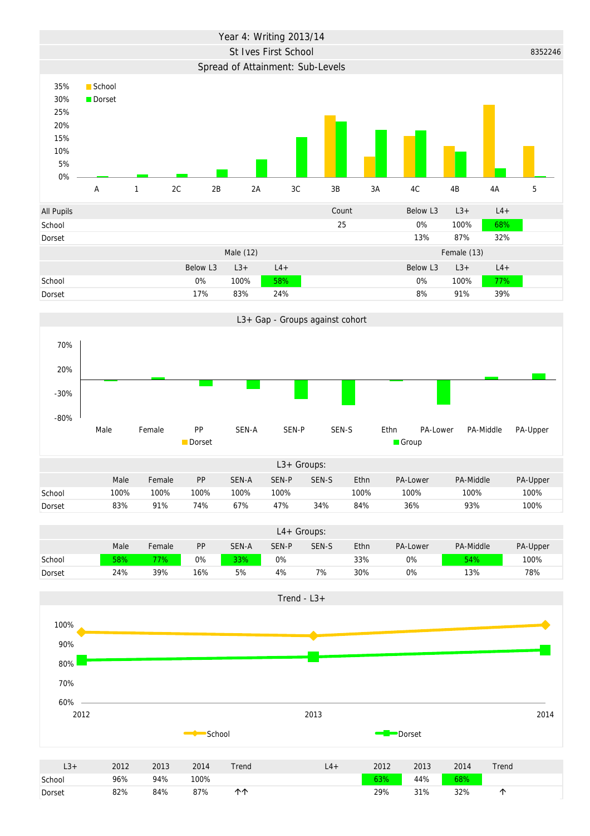



4% 7% 30% 0% 13% 78%



Dorset

24% 39% 16% 5%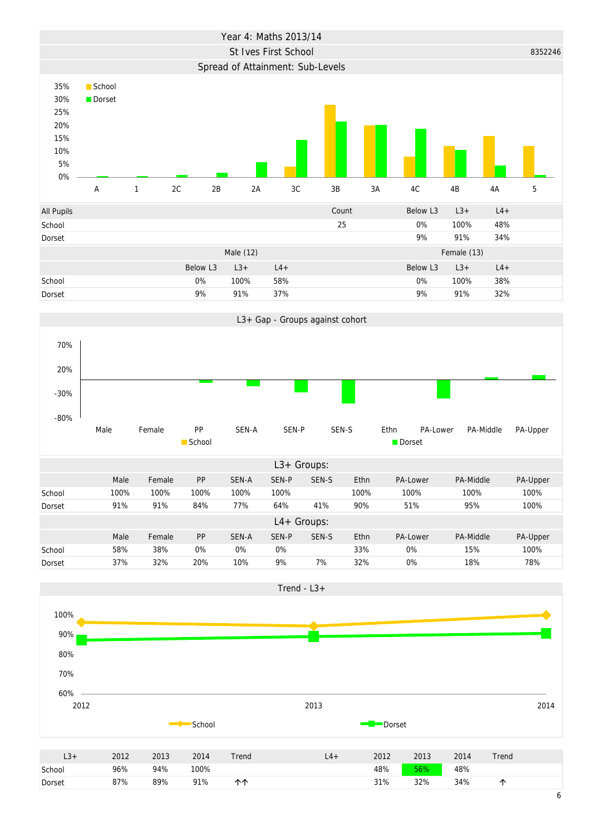



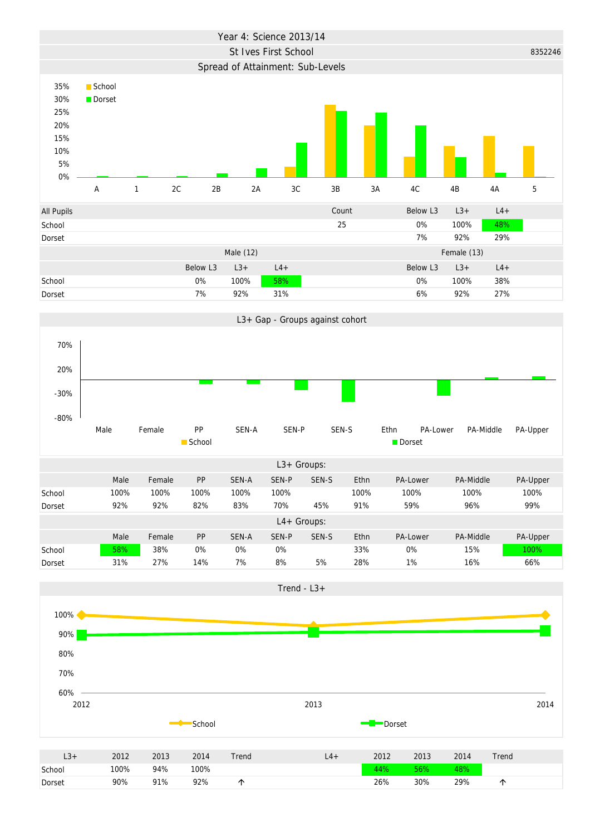



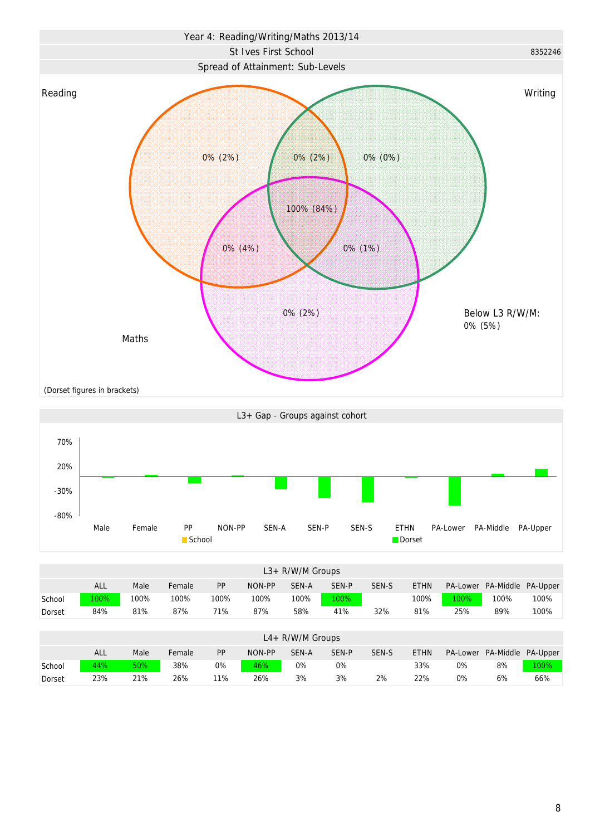



|        | $L3+ R/W/M$ Groups |      |        |      |        |                     |       |       |             |          |           |                 |  |  |
|--------|--------------------|------|--------|------|--------|---------------------|-------|-------|-------------|----------|-----------|-----------------|--|--|
|        | ALL                | Male | Female | PP   | NON-PP | SEN-A               | SEN-P | SEN-S | <b>ETHN</b> | PA-Lower | PA-Middle | PA-Upper        |  |  |
| School | 100%               | 100% | 100%   | 100% | 100%   | 100%                | 100%  |       | 100%        | 100%     | 100%      | 100%            |  |  |
| Dorset | 84%                | 81%  | 87%    | 71%  | 87%    | 58%                 | 41%   | 32%   | 81%         | 25%      | 89%       | 100%            |  |  |
|        |                    |      |        |      |        |                     |       |       |             |          |           |                 |  |  |
|        |                    |      |        |      |        | $L4 + R/W/M$ Groups |       |       |             |          |           |                 |  |  |
|        | <b>ALL</b>         | Male | Female | PP   | NON-PP | SEN-A               | SEN-P | SEN-S | <b>ETHN</b> | PA-Lower | PA-Middle | <b>PA-Upper</b> |  |  |
| School | 44%                | 50%  | 38%    | 0%   | 46%    | 0%                  | $0\%$ |       | 33%         | 0%       | 8%        | 100%            |  |  |
| Dorset | 23%                | 21%  | 26%    | 11%  | 26%    | 3%                  | 3%    | 2%    | 22%         | 0%       | 6%        | 66%             |  |  |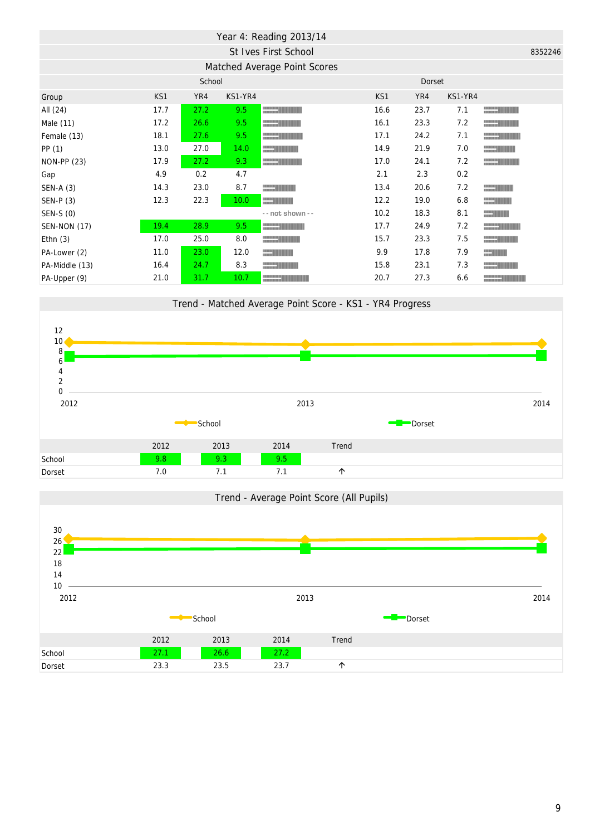|                     |      |        |                   | Year 4: Reading 2013/14                                                                                                                                                                                                              |      |        |         |                          |         |
|---------------------|------|--------|-------------------|--------------------------------------------------------------------------------------------------------------------------------------------------------------------------------------------------------------------------------------|------|--------|---------|--------------------------|---------|
|                     |      |        |                   | St Ives First School                                                                                                                                                                                                                 |      |        |         |                          | 8352246 |
|                     |      |        |                   | Matched Average Point Scores                                                                                                                                                                                                         |      |        |         |                          |         |
|                     |      | School |                   |                                                                                                                                                                                                                                      |      | Dorset |         |                          |         |
| Group               | KS1  | YR4    | KS1-YR4           |                                                                                                                                                                                                                                      | KS1  | YR4    | KS1-YR4 |                          |         |
| All (24)            | 17.7 | 27.2   | 9.5               | <u>and the second second</u>                                                                                                                                                                                                         | 16.6 | 23.7   | 7.1     | $\overline{\phantom{a}}$ |         |
| Male (11)           | 17.2 | 26.6   | 9.5               |                                                                                                                                                                                                                                      | 16.1 | 23.3   | 7.2     |                          |         |
| Female (13)         | 18.1 | 27.6   | 9.5               |                                                                                                                                                                                                                                      | 17.1 | 24.2   | 7.1     |                          |         |
| PP(1)               | 13.0 | 27.0   | 14.0              |                                                                                                                                                                                                                                      | 14.9 | 21.9   | 7.0     |                          |         |
| <b>NON-PP (23)</b>  | 17.9 | 27.2   | 9.3               |                                                                                                                                                                                                                                      | 17.0 | 24.1   | 7.2     |                          |         |
| Gap                 | 4.9  | 0.2    | 4.7               |                                                                                                                                                                                                                                      | 2.1  | 2.3    | 0.2     |                          |         |
| $SEN-A(3)$          | 14.3 | 23.0   | 8.7               |                                                                                                                                                                                                                                      | 13.4 | 20.6   | 7.2     |                          |         |
| SEN-P (3)           | 12.3 | 22.3   | 10.0 <sub>1</sub> | <u>and the set of the set of the set of the set of the set of the set of the set of the set of the set of the set of the set of the set of the set of the set of the set of the set of the set of the set of the set of the set </u> | 12.2 | 19.0   | 6.8     |                          |         |
| SEN-S (0)           |      |        |                   | -- not shown --                                                                                                                                                                                                                      | 10.2 | 18.3   | 8.1     |                          |         |
| <b>SEN-NON (17)</b> | 19.4 | 28.9   | 9.5               | <u>and the second second</u>                                                                                                                                                                                                         | 17.7 | 24.9   | 7.2     |                          |         |
| Ethn $(3)$          | 17.0 | 25.0   | 8.0               |                                                                                                                                                                                                                                      | 15.7 | 23.3   | 7.5     |                          |         |
| PA-Lower (2)        | 11.0 | 23.0   | 12.0              |                                                                                                                                                                                                                                      | 9.9  | 17.8   | 7.9     |                          |         |
| PA-Middle (13)      | 16.4 | 24.7   | 8.3               |                                                                                                                                                                                                                                      | 15.8 | 23.1   | 7.3     |                          |         |
| PA-Upper (9)        | 21.0 | 31.7   | 10.7              |                                                                                                                                                                                                                                      | 20.7 | 27.3   | 6.6     |                          |         |





9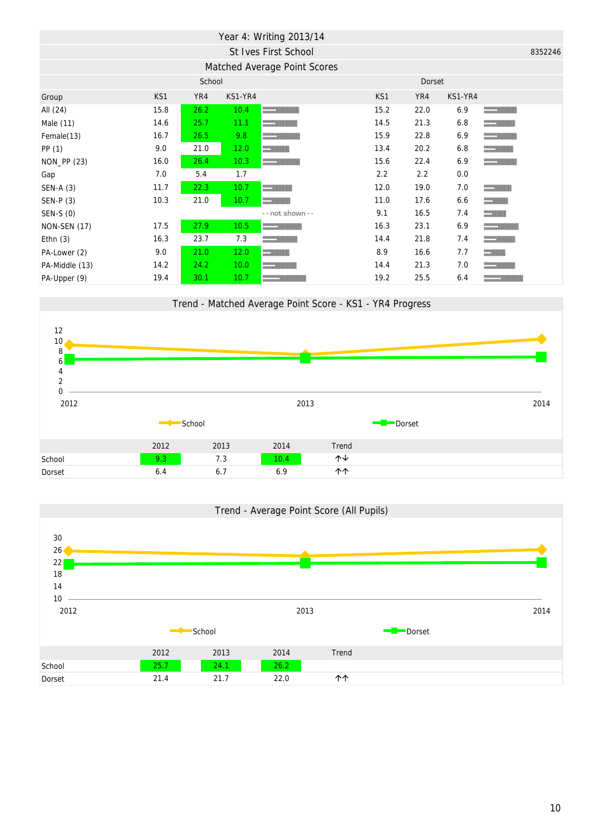|                     |      |        |         | Year 4: Writing 2013/14                                                                                                                                                                                                              |      |        |         |         |
|---------------------|------|--------|---------|--------------------------------------------------------------------------------------------------------------------------------------------------------------------------------------------------------------------------------------|------|--------|---------|---------|
|                     |      |        |         | St Ives First School                                                                                                                                                                                                                 |      |        |         | 8352246 |
|                     |      |        |         | Matched Average Point Scores                                                                                                                                                                                                         |      |        |         |         |
|                     |      | School |         |                                                                                                                                                                                                                                      |      | Dorset |         |         |
| Group               | KS1  | YR4    | KS1-YR4 |                                                                                                                                                                                                                                      | KS1  | YR4    | KS1-YR4 |         |
| All (24)            | 15.8 | 26.2   | 10.4    | <u>and the state of the state of the state of the state of the state of the state of the state of the state of the state of the state of the state of the state of the state of the state of the state of the state of the state</u> | 15.2 | 22.0   | 6.9     |         |
| Male (11)           | 14.6 | 25.7   | 11.1    |                                                                                                                                                                                                                                      | 14.5 | 21.3   | 6.8     |         |
| Female(13)          | 16.7 | 26.5   | 9.8     |                                                                                                                                                                                                                                      | 15.9 | 22.8   | 6.9     |         |
| PP(1)               | 9.0  | 21.0   | 12.0    | <b>Contract Contract Contract Contract Contract Contract Contract Contract Contract Contract Contract Contract Contract Contract Contract Contract Contract Contract Contract Contract Contract Contract Contract Contract Contr</b> | 13.4 | 20.2   | 6.8     |         |
| NON_PP (23)         | 16.0 | 26.4   | 10.3    | <u>and the second second</u>                                                                                                                                                                                                         | 15.6 | 22.4   | 6.9     |         |
| Gap                 | 7.0  | 5.4    | 1.7     |                                                                                                                                                                                                                                      | 2.2  | 2.2    | 0.0     |         |
| $SEN-A(3)$          | 11.7 | 22.3   | 10.7    |                                                                                                                                                                                                                                      | 12.0 | 19.0   | 7.0     |         |
| $SEN-P(3)$          | 10.3 | 21.0   | 10.7    |                                                                                                                                                                                                                                      | 11.0 | 17.6   | 6.6     |         |
| SEN-S (0)           |      |        |         | - - not shown - -                                                                                                                                                                                                                    | 9.1  | 16.5   | 7.4     |         |
| <b>NON-SEN (17)</b> | 17.5 | 27.9   | 10.5    |                                                                                                                                                                                                                                      | 16.3 | 23.1   | 6.9     |         |
| Ethn $(3)$          | 16.3 | 23.7   | 7.3     |                                                                                                                                                                                                                                      | 14.4 | 21.8   | 7.4     |         |
| PA-Lower (2)        | 9.0  | 21.0   | 12.0    |                                                                                                                                                                                                                                      | 8.9  | 16.6   | 7.7     |         |
| PA-Middle (13)      | 14.2 | 24.2   | 10.0    |                                                                                                                                                                                                                                      | 14.4 | 21.3   | 7.0     |         |
| PA-Upper (9)        | 19.4 | 30.1   | 10.7    |                                                                                                                                                                                                                                      | 19.2 | 25.5   | 6.4     |         |





10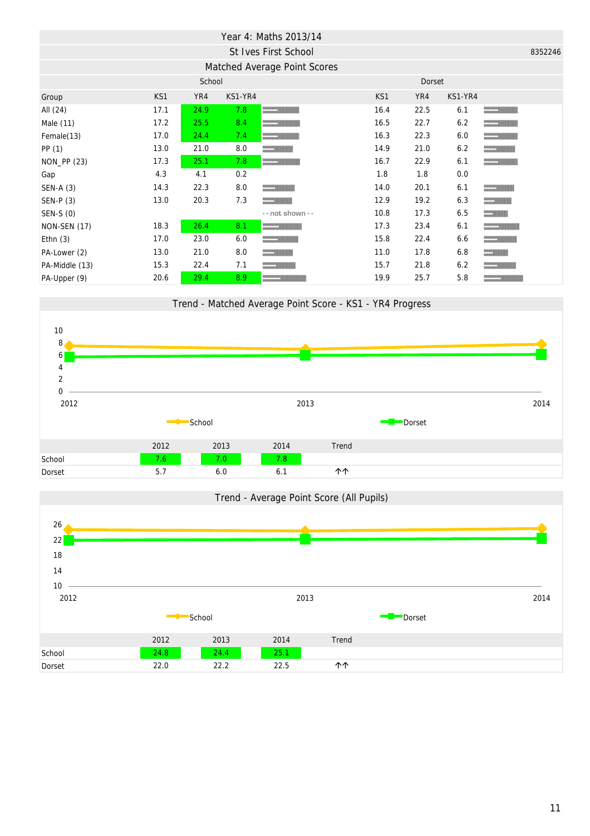|                     |      |        |         | Year 4: Maths 2013/14                                                                                                                                                                                                                |      |        |         |                          |         |
|---------------------|------|--------|---------|--------------------------------------------------------------------------------------------------------------------------------------------------------------------------------------------------------------------------------------|------|--------|---------|--------------------------|---------|
|                     |      |        |         | St Ives First School                                                                                                                                                                                                                 |      |        |         |                          | 8352246 |
|                     |      |        |         | Matched Average Point Scores                                                                                                                                                                                                         |      |        |         |                          |         |
|                     |      | School |         |                                                                                                                                                                                                                                      |      | Dorset |         |                          |         |
| Group               | KS1  | YR4    | KS1-YR4 |                                                                                                                                                                                                                                      | KS1  | YR4    | KS1-YR4 |                          |         |
| All (24)            | 17.1 | 24.9   | 7.8     | <u>and the state of the state of the state of the state of the state of the state of the state of the state of the state of the state of the state of the state of the state of the state of the state of the state of the state</u> | 16.4 | 22.5   | 6.1     | $\overline{\phantom{a}}$ |         |
| Male (11)           | 17.2 | 25.5   | 8.4     |                                                                                                                                                                                                                                      | 16.5 | 22.7   | 6.2     |                          |         |
| Female(13)          | 17.0 | 24.4   | 7.4     |                                                                                                                                                                                                                                      | 16.3 | 22.3   | 6.0     |                          |         |
| PP(1)               | 13.0 | 21.0   | 8.0     |                                                                                                                                                                                                                                      | 14.9 | 21.0   | 6.2     |                          |         |
| NON_PP (23)         | 17.3 | 25.1   | 7.8     |                                                                                                                                                                                                                                      | 16.7 | 22.9   | 6.1     |                          |         |
| Gap                 | 4.3  | 4.1    | 0.2     |                                                                                                                                                                                                                                      | 1.8  | 1.8    | 0.0     |                          |         |
| $SEN-A(3)$          | 14.3 | 22.3   | 8.0     |                                                                                                                                                                                                                                      | 14.0 | 20.1   | 6.1     |                          |         |
| SEN-P (3)           | 13.0 | 20.3   | 7.3     | <b>CONTRACTOR</b>                                                                                                                                                                                                                    | 12.9 | 19.2   | 6.3     |                          |         |
| SEN-S (0)           |      |        |         | - - not shown - -                                                                                                                                                                                                                    | 10.8 | 17.3   | 6.5     | <b>CONTRACTOR</b>        |         |
| <b>NON-SEN (17)</b> | 18.3 | 26.4   | 8.1     | <u>and the second second</u>                                                                                                                                                                                                         | 17.3 | 23.4   | 6.1     |                          |         |
| Ethn $(3)$          | 17.0 | 23.0   | 6.0     |                                                                                                                                                                                                                                      | 15.8 | 22.4   | 6.6     |                          |         |
| PA-Lower (2)        | 13.0 | 21.0   | 8.0     |                                                                                                                                                                                                                                      | 11.0 | 17.8   | 6.8     |                          |         |
| PA-Middle (13)      | 15.3 | 22.4   | 7.1     |                                                                                                                                                                                                                                      | 15.7 | 21.8   | 6.2     |                          |         |
| PA-Upper (9)        | 20.6 | 29.4   | 8.9     |                                                                                                                                                                                                                                      | 19.9 | 25.7   | 5.8     |                          |         |



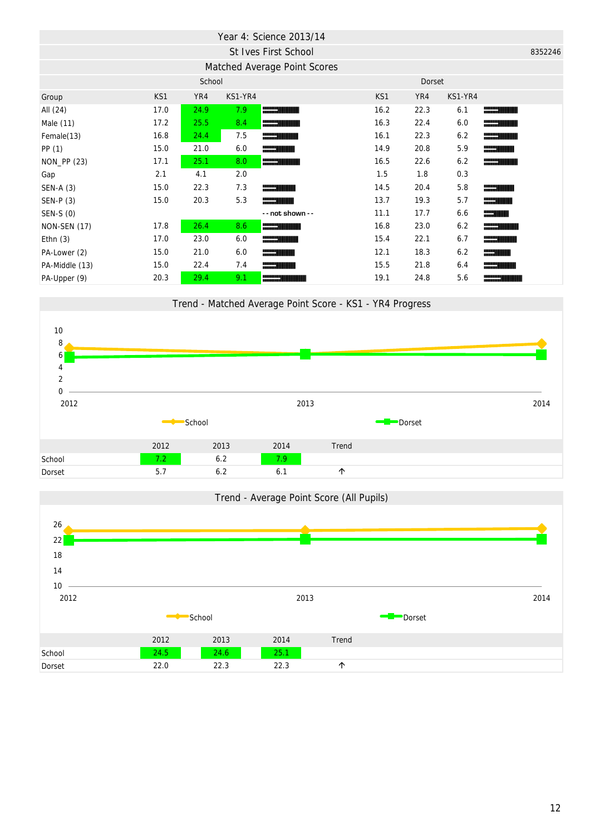|                |      |        |         | Year 4: Science 2013/14      |      |        |         |                                                                                                                                                                                                                                      |         |
|----------------|------|--------|---------|------------------------------|------|--------|---------|--------------------------------------------------------------------------------------------------------------------------------------------------------------------------------------------------------------------------------------|---------|
|                |      |        |         | St Ives First School         |      |        |         |                                                                                                                                                                                                                                      | 8352246 |
|                |      |        |         | Matched Average Point Scores |      |        |         |                                                                                                                                                                                                                                      |         |
|                |      | School |         |                              |      | Dorset |         |                                                                                                                                                                                                                                      |         |
| Group          | KS1  | YR4    | KS1-YR4 |                              | KS1  | YR4    | KS1-YR4 |                                                                                                                                                                                                                                      |         |
| All (24)       | 17.0 | 24.9   | 7.9     |                              | 16.2 | 22.3   | 6.1     | <u> The Common Second Second Second Second Second Second Second Second Second Second Second Second Second Second Second Second Second Second Second Second Second Second Second Second Second Second Second Second Second Second</u> |         |
| Male (11)      | 17.2 | 25.5   | 8.4     |                              | 16.3 | 22.4   | 6.0     | <u> The Communication of the Communication of the Communication of the Communication of the Communication of the Communication of the Communication of the Communication of the Communication of the Communication of the Commun</u> |         |
| Female(13)     | 16.8 | 24.4   | 7.5     |                              | 16.1 | 22.3   | 6.2     |                                                                                                                                                                                                                                      |         |
| PP(1)          | 15.0 | 21.0   | 6.0     |                              | 14.9 | 20.8   | 5.9     | <u>and the second second</u>                                                                                                                                                                                                         |         |
| NON_PP (23)    | 17.1 | 25.1   | 8.0     |                              | 16.5 | 22.6   | 6.2     | <u>and the second second</u>                                                                                                                                                                                                         |         |
| Gap            | 2.1  | 4.1    | 2.0     |                              | 1.5  | 1.8    | 0.3     |                                                                                                                                                                                                                                      |         |
| SEN-A (3)      | 15.0 | 22.3   | 7.3     |                              | 14.5 | 20.4   | 5.8     |                                                                                                                                                                                                                                      |         |
| $SEN-P(3)$     | 15.0 | 20.3   | 5.3     |                              | 13.7 | 19.3   | 5.7     |                                                                                                                                                                                                                                      |         |
| SEN-S (0)      |      |        |         | -- not shown --              | 11.1 | 17.7   | 6.6     | <u>and the second second</u>                                                                                                                                                                                                         |         |
| NON-SEN (17)   | 17.8 | 26.4   | 8.6     |                              | 16.8 | 23.0   | 6.2     | <u> The Communication of the Communication of the Communication of the Communication of the Communication of the Communication of the Communication of the Communication of the Communication of the Communication of the Commun</u> |         |
| Ethn $(3)$     | 17.0 | 23.0   | 6.0     |                              | 15.4 | 22.1   | 6.7     | <u> Elizabeth Charles (Charles Charles Charles Charles Charles Charles Charles Charles Charles Charles Charles Cha</u>                                                                                                               |         |
| PA-Lower (2)   | 15.0 | 21.0   | 6.0     | <u>and the second second</u> | 12.1 | 18.3   | 6.2     | <u> Elizabeth Charles (Charles Charles Charles Charles Charles Charles Charles Charles Charles Charles Charles Cha</u>                                                                                                               |         |
| PA-Middle (13) | 15.0 | 22.4   | 7.4     |                              | 15.5 | 21.8   | 6.4     |                                                                                                                                                                                                                                      |         |
| PA-Upper (9)   | 20.3 | 29.4   | 9.1     |                              | 19.1 | 24.8   | 5.6     |                                                                                                                                                                                                                                      |         |





Trend - Matched Average Point Score - KS1 - YR4 Progress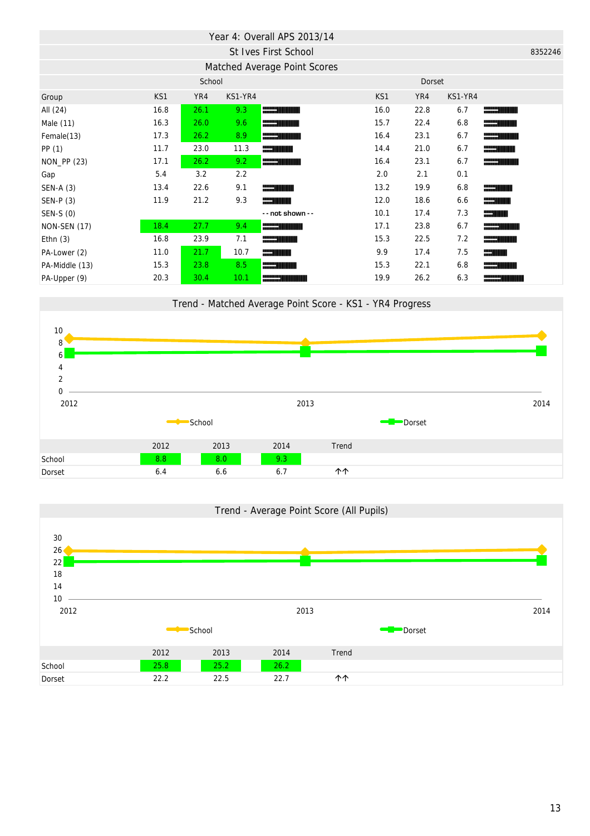|                     |      |        |         | Year 4: Overall APS 2013/14  |      |        |         |                                                                                                                        |         |
|---------------------|------|--------|---------|------------------------------|------|--------|---------|------------------------------------------------------------------------------------------------------------------------|---------|
|                     |      |        |         | St Ives First School         |      |        |         |                                                                                                                        | 8352246 |
|                     |      |        |         | Matched Average Point Scores |      |        |         |                                                                                                                        |         |
|                     |      | School |         |                              |      | Dorset |         |                                                                                                                        |         |
| Group               | KS1  | YR4    | KS1-YR4 |                              | KS1  | YR4    | KS1-YR4 |                                                                                                                        |         |
| All (24)            | 16.8 | 26.1   | 9.3     | <b>STARTING</b>              | 16.0 | 22.8   | 6.7     |                                                                                                                        |         |
| Male (11)           | 16.3 | 26.0   | 9.6     | <u>and the second second</u> | 15.7 | 22.4   | 6.8     |                                                                                                                        |         |
| Female(13)          | 17.3 | 26.2   | 8.9     | <b>_________</b>             | 16.4 | 23.1   | 6.7     | <u>and the second second</u>                                                                                           |         |
| PP (1)              | 11.7 | 23.0   | 11.3    |                              | 14.4 | 21.0   | 6.7     | <u> Elizabeth Charles (Charles Charles Charles Charles Charles Charles Charles Charles Charles Charles Charles Cha</u> |         |
| NON_PP (23)         | 17.1 | 26.2   | 9.2     |                              | 16.4 | 23.1   | 6.7     | <u>and the second second</u>                                                                                           |         |
| Gap                 | 5.4  | 3.2    | 2.2     |                              | 2.0  | 2.1    | 0.1     |                                                                                                                        |         |
| $SEN-A(3)$          | 13.4 | 22.6   | 9.1     |                              | 13.2 | 19.9   | 6.8     |                                                                                                                        |         |
| $SEN-P(3)$          | 11.9 | 21.2   | 9.3     |                              | 12.0 | 18.6   | 6.6     |                                                                                                                        |         |
| SEN-S (0)           |      |        |         | -- not shown --              | 10.1 | 17.4   | 7.3     |                                                                                                                        |         |
| <b>NON-SEN (17)</b> | 18.4 | 27.7   | 9.4     | <b>REAL PROPERTY</b>         | 17.1 | 23.8   | 6.7     | <u> Elizabeth Channel (Channel Channel Channel Channel Channel Channel Channel Channel Channel Channel Channel Cha</u> |         |
| Ethn $(3)$          | 16.8 | 23.9   | 7.1     |                              | 15.3 | 22.5   | 7.2     | <u> The Common Second</u>                                                                                              |         |
| PA-Lower (2)        | 11.0 | 21.7   | 10.7    |                              | 9.9  | 17.4   | 7.5     | <u> Herri Miller</u>                                                                                                   |         |
| PA-Middle (13)      | 15.3 | 23.8   | 8.5     |                              | 15.3 | 22.1   | 6.8     |                                                                                                                        |         |
| PA-Upper (9)        | 20.3 | 30.4   | 10.1    |                              | 19.9 | 26.2   | 6.3     |                                                                                                                        |         |



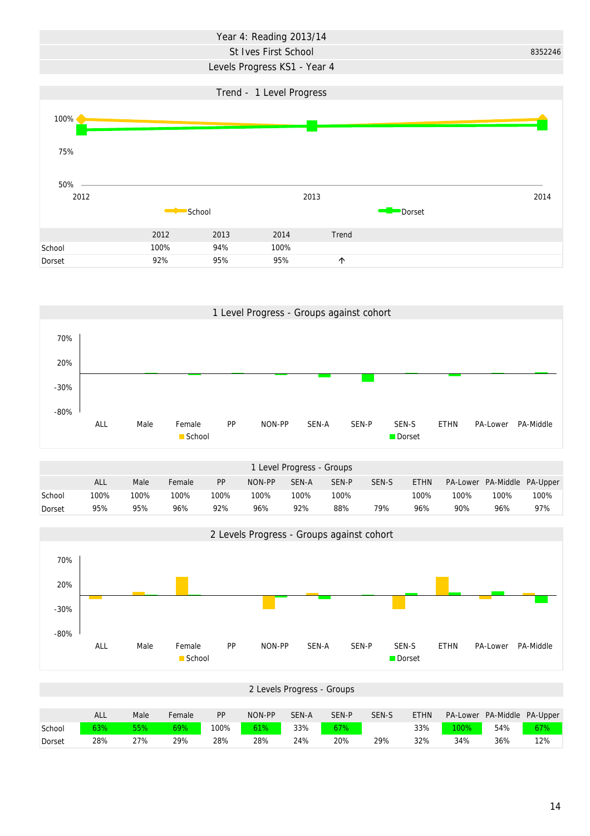## Year 4: Reading 2013/14

#### St Ives First School

## Levels Progress KS1 - Year 4





|        | Level Progress - Groups |      |        |      |        |       |       |       |             |      |                             |      |  |  |
|--------|-------------------------|------|--------|------|--------|-------|-------|-------|-------------|------|-----------------------------|------|--|--|
|        | <b>ALL</b>              | Male | Female | PP   | NON-PP | SEN-A | SEN-P | SEN-S | <b>ETHN</b> |      | PA-Lower PA-Middle PA-Upper |      |  |  |
| School | 100%                    | 100% | 100%   | 100% | 100%   | 100%  | 100%  |       | 100%        | 100% | 100%                        | 100% |  |  |
| Dorset | 95%                     | 95%  | 96%    | 92%  | 96%    | 92%   | 88%   | 79%   | 96%         | 90%  | 96%                         | 97%  |  |  |



|        |     |      |        |           |        | 2 Levels Progress - Groups |       |       |             |                 |                    |     |
|--------|-----|------|--------|-----------|--------|----------------------------|-------|-------|-------------|-----------------|--------------------|-----|
|        |     |      |        |           |        |                            |       |       |             |                 |                    |     |
|        | ALL | Male | Female | <b>PP</b> | NON-PP | SEN-A                      | SEN-P | SEN-S | <b>ETHN</b> | <b>PA-Lower</b> | PA-Middle PA-Upper |     |
| School | 63% | 55%  | 69%    | 100%      | 61%    | 33%                        | 67%   |       | 33%         | $100\%$         | 54%                | 67% |
| Dorset | 28% | 27%  | 29%    | 28%       | 28%    | 24%                        | 20%   | 29%   | 32%         | 34%             | 36%                | 12% |

8352246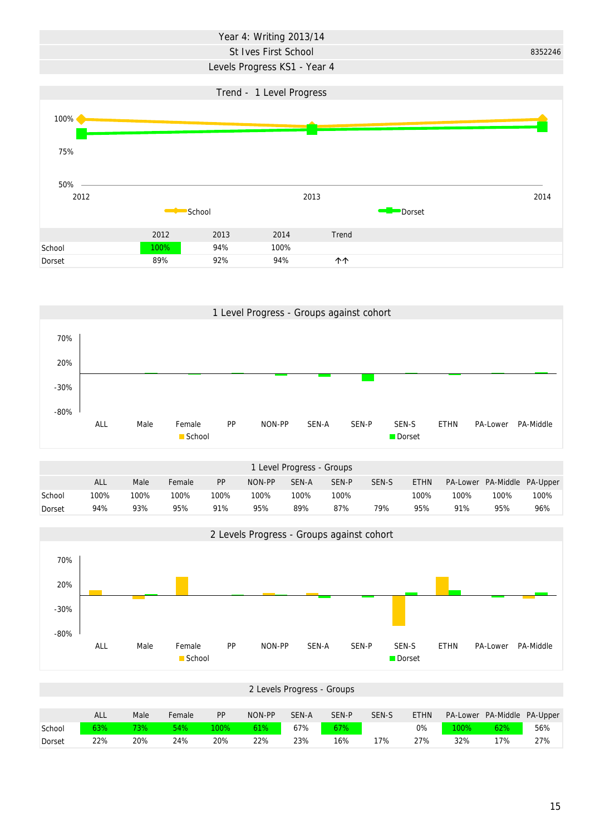# Year 4: Writing 2013/14

### St Ives First School 8352246

## Levels Progress KS1 - Year 4





|        | I Level Progress - Groups |      |        |           |        |       |       |       |             |          |                    |      |  |  |
|--------|---------------------------|------|--------|-----------|--------|-------|-------|-------|-------------|----------|--------------------|------|--|--|
|        | <b>ALL</b>                | Male | Female | <b>PP</b> | NON-PP | SEN-A | SEN-P | SEN-S | <b>ETHN</b> | PA-Lower | PA-Middle PA-Upper |      |  |  |
| School | 100%                      | 100% | 100%   | 100%      | 100%   | 100%  | 100%  |       | 100%        | 100%     | 100%               | 100% |  |  |
| Dorset | 94%                       | 93%  | 95%    | 91%       | 95%    | 89%   | 87%   | 79%   | 95%         | 91%      | 95%                | 96%  |  |  |



|        |     |      |        |           |        | 2 Levels Progress - Groups |       |       |             |      |                             |     |
|--------|-----|------|--------|-----------|--------|----------------------------|-------|-------|-------------|------|-----------------------------|-----|
|        |     |      |        |           |        |                            |       |       |             |      |                             |     |
|        | ALL | Male | Female | <b>PP</b> | NON-PP | SEN-A                      | SEN-P | SEN-S | <b>ETHN</b> |      | PA-Lower PA-Middle PA-Upper |     |
| School | 63% | 73%  | 54%    | 100%      | 61%    | 67%                        | 67%   |       | 0%          | 100% | 62%                         | 56% |
| Dorset | 22% | 20%  | 24%    | 20%       | 22%    | 23%                        | 16%   | 17%   | 27%         | 32%  | 17%                         | 27% |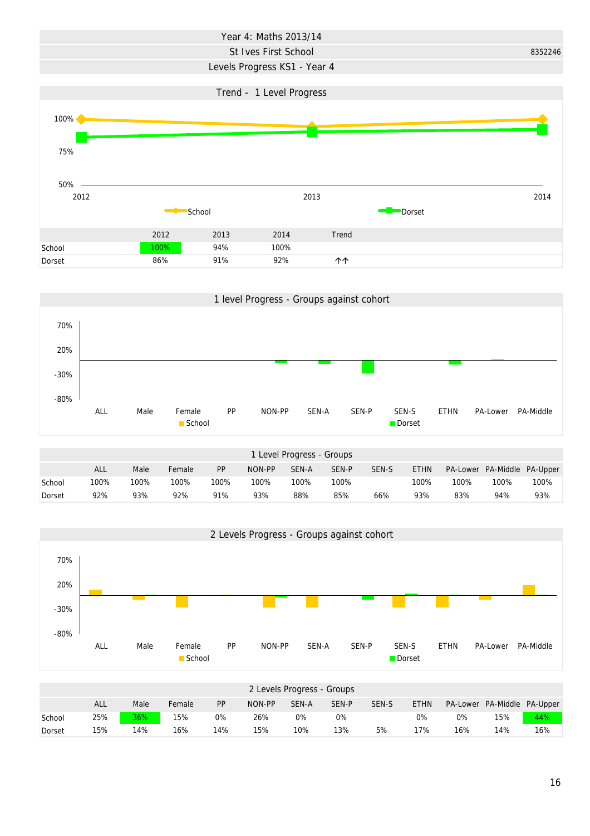# Year 4: Maths 2013/14

### St Ives First School 8352246

### Levels Progress KS1 - Year 4







|        |     |      |        |           |        | 2 Levels Progress - Groups |       |       |             |          |                    |     |
|--------|-----|------|--------|-----------|--------|----------------------------|-------|-------|-------------|----------|--------------------|-----|
|        | ALL | Male | Female | <b>PP</b> | NON-PP | SEN-A                      | SEN-P | SEN-S | <b>ETHN</b> | PA-Lower | PA-Middle PA-Upper |     |
| School | 25% | 36%  | 15%    | 0%        | 26%    | 0%                         | 0%    |       | 0%          | 0%       | 15%                | 44% |
| Dorset | 15% | 14%  | 16%    | 14%       | 15%    | 10%                        | 13%   | 5%    | 17%         | 16%      | 14%                | 16% |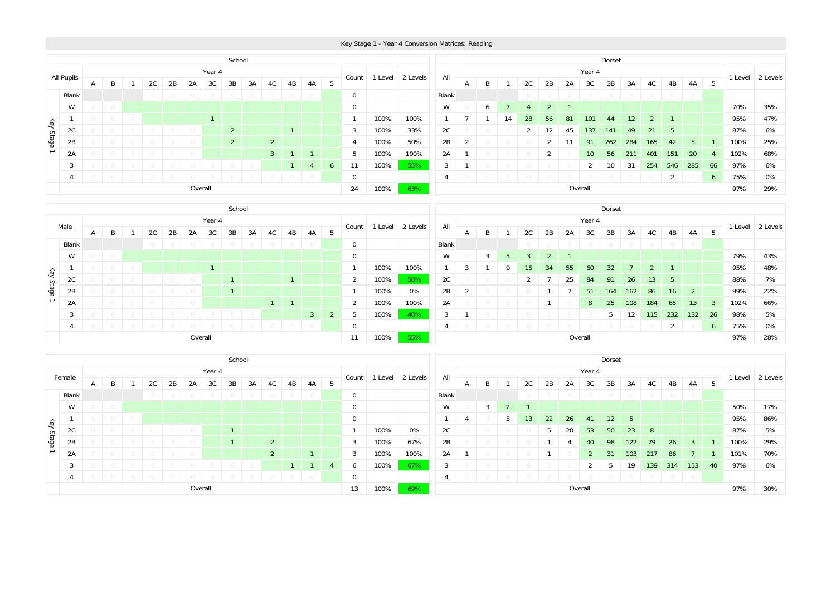|                                             |                                                  |              |         |        |    |  |    |    |        | School         |    |    |    |        |    |             |       |          |                |              |         |    |                |    |                 |        | Dorset |         |         |         |                |      |         |          |
|---------------------------------------------|--------------------------------------------------|--------------|---------|--------|----|--|----|----|--------|----------------|----|----|----|--------|----|-------------|-------|----------|----------------|--------------|---------|----|----------------|----|-----------------|--------|--------|---------|---------|---------|----------------|------|---------|----------|
|                                             | All Pupils                                       |              |         |        |    |  |    |    | Year 4 |                |    |    |    |        |    | Count       | Level | 2 Levels | All            |              |         |    |                |    |                 | Year 4 |        |         |         |         |                |      | 1 Level | 2 Levels |
|                                             |                                                  | $\mathsf{A}$ | B       |        | 2C |  | 2Β | 2A | 3C     | 3B             | 3A | 4C | 4B | 4A     |    |             |       |          |                | $\mathsf{A}$ |         |    | 2C             | 2B | 2A              | 3C     | 3B     | 3A      | 4C      | 4B      | 4A             | - 5  |         |          |
|                                             | Blank                                            |              |         |        |    |  |    |    |        |                |    |    |    | $\cup$ |    | 0           |       |          | Blank          |              |         |    |                |    |                 |        |        | $\circ$ | $\circ$ | $\circ$ |                |      |         |          |
|                                             | W                                                |              | $\circ$ |        |    |  |    |    |        |                |    |    |    |        |    | $\mathbf 0$ |       |          | W              |              | 6       |    | Δ              |    |                 |        |        |         |         |         |                |      | 70%     | 35%      |
| Key                                         |                                                  |              |         | $\cup$ |    |  |    |    |        |                |    |    |    |        |    |             | 100%  | 100%     |                |              |         | 14 | 28             | 56 | 81              | 101    | 44     | 12      |         |         |                |      | 95%     | 47%      |
|                                             | zu                                               |              |         |        |    |  |    |    |        | 2 <sup>1</sup> |    |    |    |        |    | 3           | 100%  | 33%      | 2C             |              |         |    |                | 12 | 45              | 137    | 141    | 49      | 21      | 5       |                |      | 87%     | 6%       |
| Stage                                       | $2^{\circ}$<br>2B<br>$2^{\circ}$<br>$\cap$<br>4  |              |         |        |    |  |    |    |        |                |    |    |    |        |    | 100%        | 50%   | 2B       | $\overline{2}$ |              |         |    | $\overline{2}$ | 11 | 91              | 262    | 284    | 165     | 42      | -5      |                | 100% | 25%     |          |
|                                             | 3 <sup>7</sup><br>2A<br>$\bigcirc$<br>$\bigcirc$ |              |         |        |    |  |    |    |        |                |    |    |    |        | 5  | 100%        | 100%  | 2A       |                |              |         |    |                |    | 10 <sup>1</sup> | 56     | 211    | 401     | 151     | 20      | $\overline{A}$ | 102% | 68%     |          |
|                                             | 3<br>$\overline{4}$<br>6                         |              |         |        |    |  |    |    |        |                |    |    |    |        | 11 | 100%        | 55%   | 3        |                |              |         |    |                |    | $\overline{2}$  | 10     | 31     | 254     | 546     | 285     | 66             | 97%  | 6%      |          |
| $\bigcirc$<br>$\circ$<br>$\circ$<br>$\circ$ |                                                  |              |         |        |    |  |    |    |        |                |    |    | 0  |        |    | 4           |       |          |                |              |         |    |                |    |                 |        | 2      |         | 6       | 75%     | $0\%$          |      |         |          |
|                                             | Overall<br>24<br>100%<br>63%                     |              |         |        |    |  |    |    |        |                |    |    |    |        |    |             |       |          |                |              | Overall |    |                |    |                 |        |        | 97%     | 29%     |         |                |      |         |          |

|       |          |                        |         |  |    |    |    |         | School |    |    |    |                |                |       |         |          |                |                |                 |    |    |    |                 |                 | Dorset     |                   |         |            |                 |     |      |                  |
|-------|----------|------------------------|---------|--|----|----|----|---------|--------|----|----|----|----------------|----------------|-------|---------|----------|----------------|----------------|-----------------|----|----|----|-----------------|-----------------|------------|-------------------|---------|------------|-----------------|-----|------|------------------|
|       | Male     |                        |         |  |    |    |    | Year 4  |        |    |    |    |                |                | Count | 1 Level | 2 Levels | All            |                |                 |    |    |    |                 | Year 4          |            |                   |         |            |                 |     |      | 1 Level 2 Levels |
|       |          | $\mathsf{A}$           | B       |  | 2C | 2B | 2A | 3C      | 3B     | 3A | 4C | 4B | 4A             | - 5            |       |         |          |                | $\mathsf{A}$   | B               |    | 2C | 2B | 2A              | 3C              | 3B         | 3A                | 4C      | 4B         | 4A              | 5   |      |                  |
|       | Blank    |                        |         |  |    |    |    |         |        |    |    |    |                |                | 0     |         |          | Blank          |                |                 |    |    |    |                 |                 | $\bigcirc$ | $\circ$           | $\circ$ | $\bigcirc$ | $\overline{0}$  |     |      |                  |
|       | W        |                        | $\circ$ |  |    |    |    |         |        |    |    |    |                |                | 0     |         |          | W              |                | 3               | 5  |    |    |                 |                 |            |                   |         |            |                 |     | 79%  | 43%              |
| Key   |          | 100%<br>100%           |         |  |    |    |    |         |        |    |    |    |                |                |       |         | د.       |                | Q              | 15 <sup>2</sup> | 34 | 55 | 60 | 32 <sup>2</sup> |                 |            |                   |         |            | 95%             | 48% |      |                  |
|       | 20<br>zu | 2C<br>100%<br>50%<br>2 |         |  |    |    |    |         |        |    |    |    |                |                |       |         |          |                |                |                 |    | 25 | 84 | 91              | 26 <sub>2</sub> | 13         | 5                 |         |            | 88%             | 7%  |      |                  |
| Stage | 2B       |                        |         |  |    |    |    |         |        |    |    |    |                |                |       | 100%    | 0%       | 2B             | $\overline{2}$ |                 |    |    |    |                 | 51              | 164        | 162               | 86      | 16         | 2               |     | 99%  | 22%              |
|       | 2A       |                        |         |  |    |    |    |         |        |    |    |    |                |                | 2     | 100%    | 100%     | 2A             |                |                 |    |    |    |                 | 8 <sup>1</sup>  | 25         | 108               | 184     | 65         | 13 <sup>2</sup> | -3  | 102% | 66%              |
|       | 3        |                        |         |  |    |    |    |         |        |    |    |    | 3 <sup>1</sup> | $\overline{2}$ | 5     | 100%    | 40%      | 3              |                |                 |    |    |    |                 |                 | 5          | $12 \overline{ }$ | 115     | 232        | 132             | 26  | 98%  | 5%               |
|       |          |                        |         |  |    |    |    |         |        |    |    |    |                |                | 0     |         |          | $\overline{4}$ |                |                 |    |    |    |                 |                 |            |                   |         | 2          |                 | 6   | 75%  | 0%               |
|       |          |                        |         |  |    |    |    | Overall |        |    |    |    |                |                | 11    | 100%    | 55%      |                |                |                 |    |    |    |                 | Overall         |            |                   |         |            |                 |     | 97%  | 28%              |

|       |        |                              |  |  |    |    |    |         | School |    |          |    |    |     |             |                |                  |       |   |                 |    |           |    |             | Dorset         |                |                |            |              |     |      |                  |
|-------|--------|------------------------------|--|--|----|----|----|---------|--------|----|----------|----|----|-----|-------------|----------------|------------------|-------|---|-----------------|----|-----------|----|-------------|----------------|----------------|----------------|------------|--------------|-----|------|------------------|
|       | Female |                              |  |  |    |    |    | Year 4  |        |    |          |    |    |     |             |                |                  | All   |   |                 |    |           |    | Year 4      |                |                |                |            |              |     |      | 1 Level 2 Levels |
|       |        | A                            |  |  | 2C | 2B | 2A | 3C      | 3B     | 3A | 4C       | 4B | 4A | - 5 | Count       |                | 1 Level 2 Levels |       | A | B               | 2C | 2B        | 2A | 3C          | 3B             | 3A             | 4C             | 4B         | 4A           | 5   |      |                  |
|       | Blank  |                              |  |  |    |    |    |         |        |    |          |    |    |     | $\mathbf 0$ |                |                  | Blank |   |                 |    |           |    |             |                |                | $\bigcirc$     | $\bigcirc$ | $\circ$      |     |      |                  |
|       | W      |                              |  |  |    |    |    |         |        |    |          |    |    |     | 0           |                |                  | W     |   | 3               |    |           |    |             |                |                |                |            |              |     | 50%  | 17%              |
| key   |        | $\mathbf 0$                  |  |  |    |    |    |         |        |    |          |    |    |     |             |                |                  |       |   | 13 <sup>2</sup> | 22 | <b>26</b> | 41 | 12          | -5             |                |                |            |              | 95% | 86%  |                  |
|       | ZU.    | 0%<br>2C<br>100%             |  |  |    |    |    |         |        |    |          |    |    |     |             |                |                  |       |   |                 | 5  | 20        | 53 | 50          | 23             | 8              |                |            |              | 87% | 5%   |                  |
| Stage | 2B     | 67%<br>3<br>100%<br>$\Omega$ |  |  |    |    |    |         |        |    |          |    |    |     |             |                |                  | 2B    |   |                 |    |           |    | 40          | 98             | 122            | 79             | 26         | $\mathbf{3}$ |     | 100% | 29%              |
|       | 2A     |                              |  |  |    |    |    |         |        |    | $\Omega$ |    |    |     | 3           | 100%           | 100%             | 2A    |   |                 |    |           |    | $2^{\circ}$ | 31             | 103            | 217            | 86         |              |     | 101% | 70%              |
|       | 3      | 100%<br>6                    |  |  |    |    |    |         |        |    |          |    |    |     |             | 67%            | 3                |       |   |                 |    |           |    | b           | 19             | 139            | 314            | 153        | 40           | 97% | 6%   |                  |
|       |        | $\mathbf 0$                  |  |  |    |    |    |         |        |    |          |    |    |     |             | $\overline{4}$ |                  |       |   |                 |    |           |    |             | $\overline{0}$ | $\overline{0}$ | $\overline{0}$ |            |              |     |      |                  |
|       |        |                              |  |  |    |    |    | Overall |        |    |          |    |    |     | 13          | 100%           | 69%              |       |   |                 |    |           |    | Overall     |                |                |                |            |              |     | 97%  | 30%              |

#### Key Stage 1 - Year 4 Conversion Matrices: Reading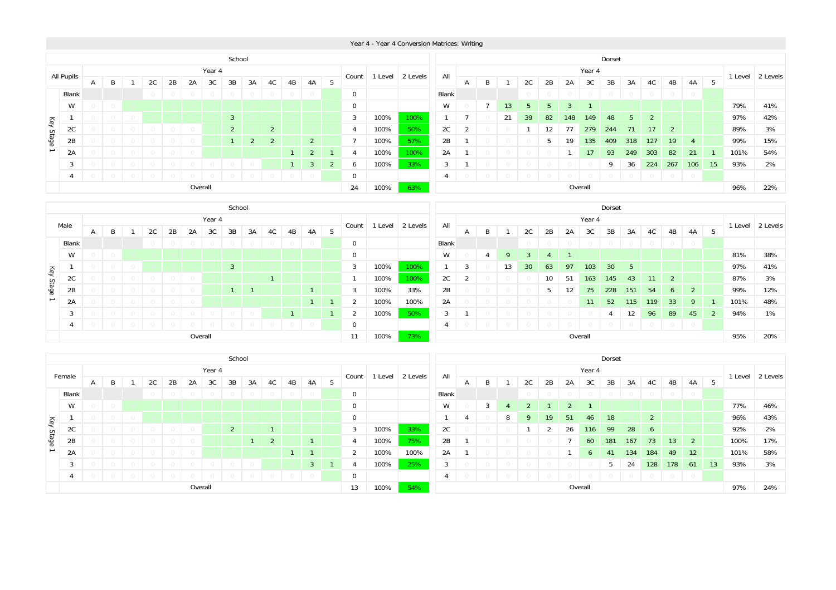|           |                                                                                                                                                                |                                                                                                                          |  |            |  |    |        |            |        |    |    |    |    |    |     |             | School         |          |       |    |    |         |     |                |                 |        |                                                                         |            |         |         |         |      |         |          |
|-----------|----------------------------------------------------------------------------------------------------------------------------------------------------------------|--------------------------------------------------------------------------------------------------------------------------|--|------------|--|----|--------|------------|--------|----|----|----|----|----|-----|-------------|----------------|----------|-------|----|----|---------|-----|----------------|-----------------|--------|-------------------------------------------------------------------------|------------|---------|---------|---------|------|---------|----------|
|           |                                                                                                                                                                |                                                                                                                          |  |            |  |    |        |            | Year 4 |    |    |    |    |    |     |             |                |          |       |    |    |         |     |                |                 | Year 4 |                                                                         |            |         |         |         |      |         |          |
|           | All Pupils                                                                                                                                                     | A                                                                                                                        |  | B          |  | 2C | 2В     | 2A         | 3C     | 3B | 3A | 4C | 4B | 4A | -5  | Count       | Level          | 2 Levels | All   | A  | B  |         | 2C  | 2B             | 2A              | 3C     | 3B                                                                      | 3A         | 4C      | 4B      | 4A      | - 5  | 1 Level | 2 Levels |
|           | Blank                                                                                                                                                          |                                                                                                                          |  |            |  |    | $\cup$ | $\bigcirc$ | $\cup$ |    |    |    |    |    |     | $\mathbf 0$ |                |          | Blank |    |    |         |     |                |                 |        | $\bigcirc$                                                              | $\bigcirc$ | $\circ$ | $\circ$ | $\circ$ |      |         |          |
|           | W                                                                                                                                                              |                                                                                                                          |  | $\bigcirc$ |  |    |        |            |        |    |    |    |    |    |     | $\mathbf 0$ |                |          | W     |    |    | 13      | Б.  | 5 <sup>1</sup> |                 |        |                                                                         |            |         |         |         |      | 79%     | 41%      |
|           |                                                                                                                                                                | 3 <sup>1</sup><br>100%<br>100%<br>3<br>$\circ$<br>$\circ$                                                                |  |            |  |    |        |            |        |    |    |    |    |    |     |             |                |          | 21    | 39 | 82 | 148     | 149 | 48             | $5 -$           | 2      |                                                                         |            |         | 97%     | 42%     |      |         |          |
|           | 2C                                                                                                                                                             | 2C<br>$2^{\circ}$<br>$\overline{2}$<br>100%<br>50%<br>$\bigcirc$<br>$\bigcirc$<br>$\overline{4}$<br>$\bigcirc$<br>()     |  |            |  |    |        |            |        |    |    |    |    |    |     |             | $\overline{2}$ |          |       |    | 12 | 77      | 279 | 244            | 71              | 17     | 2                                                                       |            |         | 89%     | 3%      |      |         |          |
| Key Stage | 2B                                                                                                                                                             | 100%<br>57%<br>$\overline{7}$<br>$\overline{2}$<br>$2^{\circ}$<br>$2^{\circ}$<br>$\bigcap$<br>$\cup$<br>$\bigcirc$<br>() |  |            |  |    |        |            |        |    |    |    |    |    |     |             |                | 2B       |       |    |    |         | 5   | 19             | 135             | 409    | 318                                                                     | 127        | 19      | -4      |         | 99%  | 15%     |          |
|           | $2^{\circ}$<br>2A<br>$\overline{1}$<br>$\circ$<br>$\bigcirc$<br>4                                                                                              |                                                                                                                          |  |            |  |    |        |            |        |    |    |    |    |    |     | 100%        | 100%           | 2A       |       |    |    |         |     |                | 17 <sup>2</sup> | 93     | 249                                                                     | 303        | 82      | 21      |         | 101% | 54%     |          |
|           | 100%<br>3 <sup>7</sup><br>3<br>$\overline{1}$<br>$\overline{2}$<br>$\circ$<br>$\bigcirc$<br>$\bigcirc$<br>$\cup$<br>6<br>$\bigcirc$<br>$\cup$                  |                                                                                                                          |  |            |  |    |        |            |        |    |    |    |    |    | 33% | 3           |                |          |       |    |    |         |     | 9              | 36              | 224    | 267                                                                     | 106        | 15      | 93%     | 2%      |      |         |          |
|           | $\mathbf 0$<br>$\cup$<br>$\bigcirc$<br>$\overline{0}$<br>$\overline{0}$<br>$\cap$<br>$\bigcirc$<br>$\bigcirc$<br>$\bigcirc$<br>$\bigcirc$<br>$\Box$<br>$\circ$ |                                                                                                                          |  |            |  |    |        |            |        |    |    |    |    |    |     | 4           |                |          |       |    |    |         |     | $\circ$        | $\circ$         |        | $\begin{array}{c c c c c c c c} \hline 0 & 0 & 0 \\ \hline \end{array}$ |            |         |         |         |      |         |          |
|           |                                                                                                                                                                | Overall<br>24<br>100%<br>63%                                                                                             |  |            |  |    |        |            |        |    |    |    |    |    |     |             |                |          |       |    |    | Overall |     |                |                 |        |                                                                         |            | 96%     | 22%     |         |      |         |          |

|           |                |   |   |  |  |    |    |    |         |                | School |    |    |    |   |             |       |          |                |                |   |    |                 |    |     |                  | Dorset          |         |            |                |                |     |         |          |
|-----------|----------------|---|---|--|--|----|----|----|---------|----------------|--------|----|----|----|---|-------------|-------|----------|----------------|----------------|---|----|-----------------|----|-----|------------------|-----------------|---------|------------|----------------|----------------|-----|---------|----------|
|           | Male           |   |   |  |  |    |    |    | Year 4  |                |        |    |    |    |   |             | Level | 2 Levels | All            |                |   |    |                 |    |     | Year 4           |                 |         |            |                |                |     | 1 Level | 2 Levels |
|           |                | A | B |  |  | 2C | 2B | 2A | 3C      | 3B             | 3A     | 4C | 4B | 4A | 5 | Count       |       |          |                | $\overline{A}$ | B |    | 2C              | 2B | 2A  | 3C               | 3B              | 3A      | 4C         | 4B             | 4A             | 5   |         |          |
|           | Blank          |   |   |  |  |    |    |    |         |                |        |    |    |    |   | 0           |       |          | Blank          |                |   |    |                 |    |     |                  | $\bigcirc$      | $\circ$ | $\circ$    | $\circ$        | $\overline{0}$ |     |         |          |
|           | W              |   |   |  |  |    |    |    |         |                |        |    |    |    |   | $\mathbf 0$ |       |          | W              |                | 4 | 9  |                 |    |     |                  |                 |         |            |                |                |     | 81%     | 38%      |
|           |                |   |   |  |  |    |    |    |         | $\overline{3}$ |        |    |    |    |   | 3           | 100%  | 100%     |                | 3              |   | 13 | 30 <sup>°</sup> | 63 | 97  | 103 <sub>1</sub> | 30 <sup>°</sup> | 5       |            |                |                |     | 97%     | 41%      |
|           | 2C             |   |   |  |  |    |    |    |         |                |        |    |    |    |   | 100%        | 100%  | 2C       | $\overline{2}$ |                |   |    | 10              | 51 | 163 | 145              | 43              | 11      | 2          |                |                | 87% | 3%      |          |
| Key Stage | 2B             |   |   |  |  |    |    |    |         |                |        |    |    |    |   | 3           | 100%  | 33%      | 2B             |                |   |    |                 |    | 12  | 75               | 228             | 151     | 54         | 6              | 2              |     | 99%     | 12%      |
|           | 2A             |   |   |  |  |    |    |    |         |                |        |    |    |    |   | 2           | 100%  | 100%     | 2A             |                |   |    |                 |    |     | 11               | 52              | 115     | 119        | 33             | 9              |     | 101%    | 48%      |
|           | $\overline{3}$ |   |   |  |  |    |    |    |         |                |        |    |    |    | 2 | 100%        | 50%   | 3        |                |                |   |    |                 |    |     |                  | 12              | 96      | 89         | 45             | $\overline{2}$ | 94% | 1%      |          |
|           | 4              |   |   |  |  |    |    |    |         |                |        |    |    |    | 0 |             |       |          |                |                |   |    |                 |    |     |                  | $\circ$         | $\circ$ | $\bigcirc$ | $\overline{0}$ |                |     |         |          |
|           |                |   |   |  |  |    |    |    | Overall |                |        |    |    |    |   | 11          | 100%  | 73%      |                |                |   |    |                 |    |     | Overall          |                 |         |            |                |                |     | 95%     | 20%      |

|                          |        |                                          |         |            |            |        |            |        | School     |            |                |    |         |     |                |       |          |       |   |              |    |    |     |    |                | Dorset      |            |            |                 |                |     |         |          |
|--------------------------|--------|------------------------------------------|---------|------------|------------|--------|------------|--------|------------|------------|----------------|----|---------|-----|----------------|-------|----------|-------|---|--------------|----|----|-----|----|----------------|-------------|------------|------------|-----------------|----------------|-----|---------|----------|
|                          | Female |                                          |         |            |            |        |            | Year 4 |            |            |                |    |         |     |                |       |          | All   |   |              |    |    |     |    | Year 4         |             |            |            |                 |                |     |         |          |
|                          |        | A                                        | B       |            | 2C         | 2B     | 2A         | 3C     | 3B         | 3A         | 4C             | 4B | 4A      | - 5 | Count          | Level | 2 Levels |       | A | B            |    | 2C | 2B  | 2A | 3C             | 3B          | 3A         | 4C         | 4B              | 4A             | 5   | 1 Level | 2 Levels |
|                          | Blank  |                                          |         |            |            | $\cup$ | $\bigcirc$ | $\cup$ | $\bigcirc$ | $\bigcirc$ |                |    |         |     | $\mathbf 0$    |       |          | Blank |   |              |    |    |     |    |                |             | $\bigcirc$ | $\bigcirc$ | $\circ$         | $\circ$        |     |         |          |
|                          | W      |                                          | $\circ$ |            |            |        |            |        |            |            |                |    |         |     | $\mathbf 0$    |       |          | W     |   |              | Δ  |    |     |    |                |             |            |            |                 |                |     | 77%     | 46%      |
| Key                      |        | $\mathbf 0$<br>$\circ$                   |         |            |            |        |            |        |            |            |                |    |         |     |                |       | 4        |       | 8 | $\mathbf{Q}$ | 19 | 51 | 46  | 18 |                | $2^{\circ}$ |            |            |                 | 96%            | 43% |         |          |
|                          | 2C     | 33%<br>2C<br>100%<br>3<br>$\overline{2}$ |         |            |            |        |            |        |            |            |                |    |         |     |                |       |          |       |   |              | 2  | 26 | 116 | 99 | 28             | 6           |            |            |                 | 92%            | 2%  |         |          |
| Stage                    | 2B     |                                          |         |            |            |        |            |        |            |            | $\overline{2}$ |    |         |     | $\overline{4}$ | 100%  | 75%      | 2B    | - |              |    |    |     |    | 60             | 181         | 167        | 73         | 13 <sup>2</sup> | 2              |     | 100%    | 17%      |
| $\overline{\phantom{0}}$ | 2A     |                                          |         |            |            |        | $\cup$     |        |            |            |                |    |         |     | $\overline{2}$ | 100%  | 100%     | 2A    |   |              |    |    |     |    | 6 <sup>7</sup> | 41          | 134        | 184        | 49              | 12             |     | 101%    | 58%      |
|                          |        | 25%<br>100%<br>3<br>3                    |         |            |            |        |            |        |            |            |                |    |         |     |                |       |          |       |   |              |    |    |     | b. | 24             | 128         | 178        | 61         | 13              | 93%            | 3%  |         |          |
|                          | -4     | $\begin{array}{c} \square \end{array}$   |         | $\bigcirc$ | $\bigcirc$ | $\Box$ |            |        |            |            |                |    | $\circ$ |     | 0              |       |          | 4     |   |              |    |    |     |    |                |             | $\cup$     | $\bigcirc$ | $\overline{0}$  | $\overline{0}$ |     |         |          |
|                          |        |                                          |         |            |            |        | Overall    |        |            |            |                |    |         |     | 13             | 100%  | 54%      |       |   |              |    |    |     |    | Overall        |             |            |            |                 |                |     | 97%     | 24%      |

#### Year 4 - Year 4 Conversion Matrices: Writing